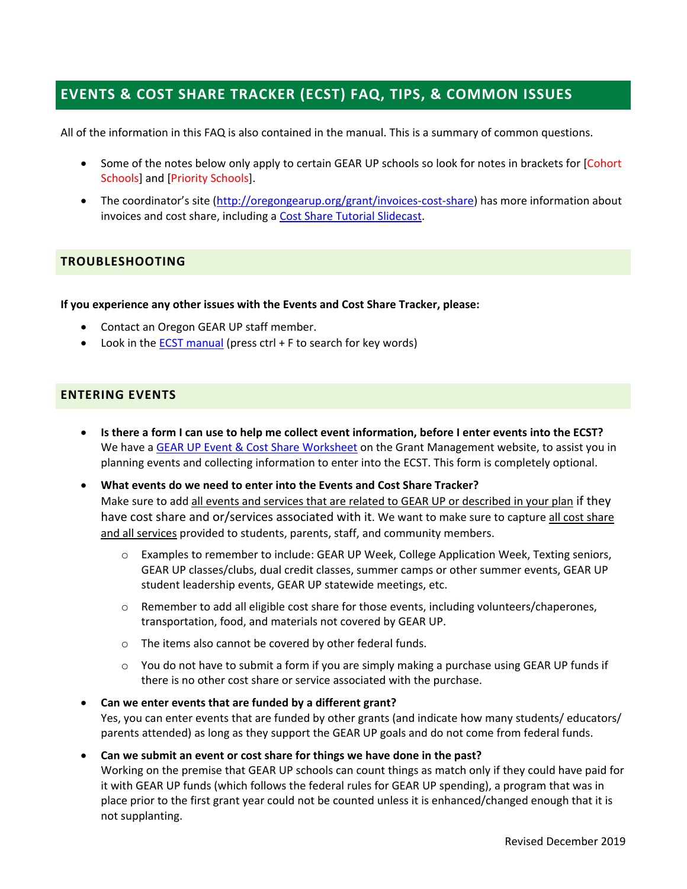# **EVENTS & COST SHARE TRACKER (ECST) FAQ, TIPS, & COMMON ISSUES**

All of the information in this FAQ is also contained in the manual. This is a summary of common questions.

- Some of the notes below only apply to certain GEAR UP schools so look for notes in brackets for [Cohort Schools] and [Priority Schools].
- The coordinator's site (http://oregongearup.org/grant/invoices-cost-share) has more information about invoices and cost share, including a Cost Share Tutorial Slidecast.

# **TROUBLESHOOTING**

**If you experience any other issues with the Events and Cost Share Tracker, please:** 

- Contact an Oregon GEAR UP staff member.
- $\bullet$  Look in the **ECST** manual (press ctrl + F to search for key words)

## **ENTERING EVENTS**

- **Is there a form I can use to help me collect event information, before I enter events into the ECST?** We have a GEAR UP Event & Cost Share Worksheet on the Grant Management website, to assist you in planning events and collecting information to enter into the ECST. This form is completely optional.
- **What events do we need to enter into the Events and Cost Share Tracker?**  Make sure to add all events and services that are related to GEAR UP or described in your plan if they have cost share and or/services associated with it. We want to make sure to capture all cost share and all services provided to students, parents, staff, and community members.
	- o Examples to remember to include: GEAR UP Week, College Application Week, Texting seniors, GEAR UP classes/clubs, dual credit classes, summer camps or other summer events, GEAR UP student leadership events, GEAR UP statewide meetings, etc.
	- $\circ$  Remember to add all eligible cost share for those events, including volunteers/chaperones, transportation, food, and materials not covered by GEAR UP.
	- o The items also cannot be covered by other federal funds.
	- $\circ$  You do not have to submit a form if you are simply making a purchase using GEAR UP funds if there is no other cost share or service associated with the purchase.

## **Can we enter events that are funded by a different grant?**  Yes, you can enter events that are funded by other grants (and indicate how many students/ educators/ parents attended) as long as they support the GEAR UP goals and do not come from federal funds.

## **Can we submit an event or cost share for things we have done in the past?**

Working on the premise that GEAR UP schools can count things as match only if they could have paid for it with GEAR UP funds (which follows the federal rules for GEAR UP spending), a program that was in place prior to the first grant year could not be counted unless it is enhanced/changed enough that it is not supplanting.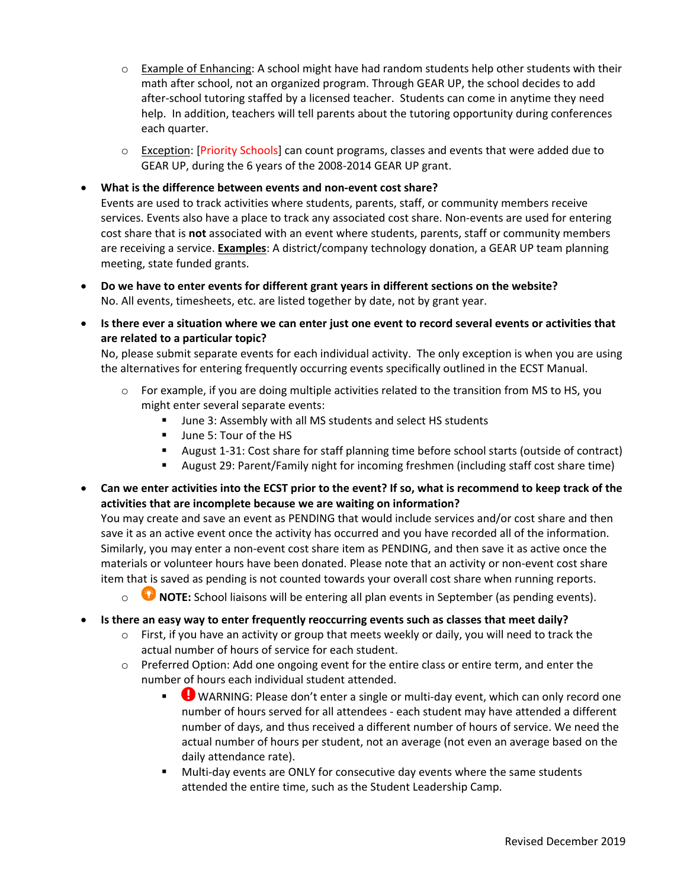- $\circ$  Example of Enhancing: A school might have had random students help other students with their math after school, not an organized program. Through GEAR UP, the school decides to add after-school tutoring staffed by a licensed teacher. Students can come in anytime they need help. In addition, teachers will tell parents about the tutoring opportunity during conferences each quarter.
- $\circ$  Exception: [Priority Schools] can count programs, classes and events that were added due to GEAR UP, during the 6 years of the 2008‐2014 GEAR UP grant.

## **What is the difference between events and non‐event cost share?**

Events are used to track activities where students, parents, staff, or community members receive services. Events also have a place to track any associated cost share. Non‐events are used for entering cost share that is **not** associated with an event where students, parents, staff or community members are receiving a service. **Examples**: A district/company technology donation, a GEAR UP team planning meeting, state funded grants.

- **Do we have to enter events for different grant years in different sections on the website?** No. All events, timesheets, etc. are listed together by date, not by grant year.
- **Is there ever a situation where we can enter just one event to record several events or activities that are related to a particular topic?**

No, please submit separate events for each individual activity. The only exception is when you are using the alternatives for entering frequently occurring events specifically outlined in the ECST Manual.

- $\circ$  For example, if you are doing multiple activities related to the transition from MS to HS, you might enter several separate events:
	- June 3: Assembly with all MS students and select HS students
	- Uune 5: Tour of the HS
	- August 1-31: Cost share for staff planning time before school starts (outside of contract)
	- August 29: Parent/Family night for incoming freshmen (including staff cost share time)
- **Can we enter activities into the ECST prior to the event? If so, what is recommend to keep track of the activities that are incomplete because we are waiting on information?**

You may create and save an event as PENDING that would include services and/or cost share and then save it as an active event once the activity has occurred and you have recorded all of the information. Similarly, you may enter a non‐event cost share item as PENDING, and then save it as active once the materials or volunteer hours have been donated. Please note that an activity or non‐event cost share item that is saved as pending is not counted towards your overall cost share when running reports.

- o **NOTE:** School liaisons will be entering all plan events in September (as pending events).
- **Is there an easy way to enter frequently reoccurring events such as classes that meet daily?**
	- $\circ$  First, if you have an activity or group that meets weekly or daily, you will need to track the actual number of hours of service for each student.
	- $\circ$  Preferred Option: Add one ongoing event for the entire class or entire term, and enter the number of hours each individual student attended.
		- ● WARNING: Please don't enter a single or multi-day event, which can only record one number of hours served for all attendees ‐ each student may have attended a different number of days, and thus received a different number of hours of service. We need the actual number of hours per student, not an average (not even an average based on the daily attendance rate).
		- Multi-day events are ONLY for consecutive day events where the same students attended the entire time, such as the Student Leadership Camp.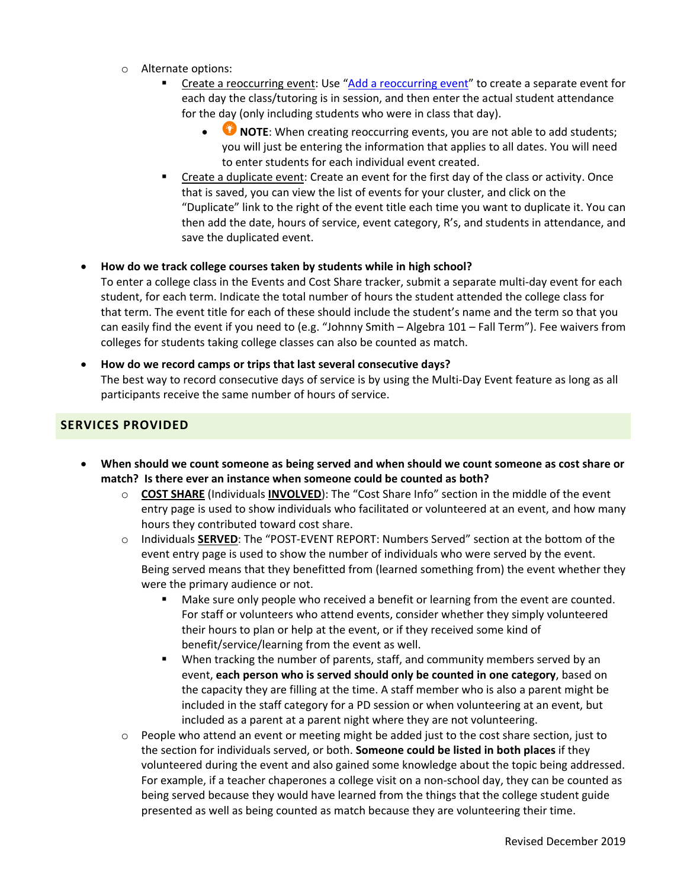- o Alternate options:
	- Create a reoccurring event: Use "Add a reoccurring event" to create a separate event for each day the class/tutoring is in session, and then enter the actual student attendance for the day (only including students who were in class that day).
		- **NOTE:** When creating reoccurring events, you are not able to add students; you will just be entering the information that applies to all dates. You will need to enter students for each individual event created.
	- Create a duplicate event: Create an event for the first day of the class or activity. Once that is saved, you can view the list of events for your cluster, and click on the "Duplicate" link to the right of the event title each time you want to duplicate it. You can then add the date, hours of service, event category, R's, and students in attendance, and save the duplicated event.

### **How do we track college courses taken by students while in high school?**

To enter a college class in the Events and Cost Share tracker, submit a separate multi‐day event for each student, for each term. Indicate the total number of hours the student attended the college class for that term. The event title for each of these should include the student's name and the term so that you can easily find the event if you need to (e.g. "Johnny Smith – Algebra 101 – Fall Term"). Fee waivers from colleges for students taking college classes can also be counted as match.

# **How do we record camps or trips that last several consecutive days?**  The best way to record consecutive days of service is by using the Multi‐Day Event feature as long as all participants receive the same number of hours of service.

## **SERVICES PROVIDED**

- **When should we count someone as being served and when should we count someone as cost share or match? Is there ever an instance when someone could be counted as both?** 
	- o **COST SHARE** (Individuals **INVOLVED**): The "Cost Share Info" section in the middle of the event entry page is used to show individuals who facilitated or volunteered at an event, and how many hours they contributed toward cost share.
	- o Individuals **SERVED**: The "POST‐EVENT REPORT: Numbers Served" section at the bottom of the event entry page is used to show the number of individuals who were served by the event. Being served means that they benefitted from (learned something from) the event whether they were the primary audience or not.
		- **Make sure only people who received a benefit or learning from the event are counted.** For staff or volunteers who attend events, consider whether they simply volunteered their hours to plan or help at the event, or if they received some kind of benefit/service/learning from the event as well.
		- When tracking the number of parents, staff, and community members served by an event, **each person who is served should only be counted in one category**, based on the capacity they are filling at the time. A staff member who is also a parent might be included in the staff category for a PD session or when volunteering at an event, but included as a parent at a parent night where they are not volunteering.
	- $\circ$  People who attend an event or meeting might be added just to the cost share section, just to the section for individuals served, or both. **Someone could be listed in both places** if they volunteered during the event and also gained some knowledge about the topic being addressed. For example, if a teacher chaperones a college visit on a non‐school day, they can be counted as being served because they would have learned from the things that the college student guide presented as well as being counted as match because they are volunteering their time.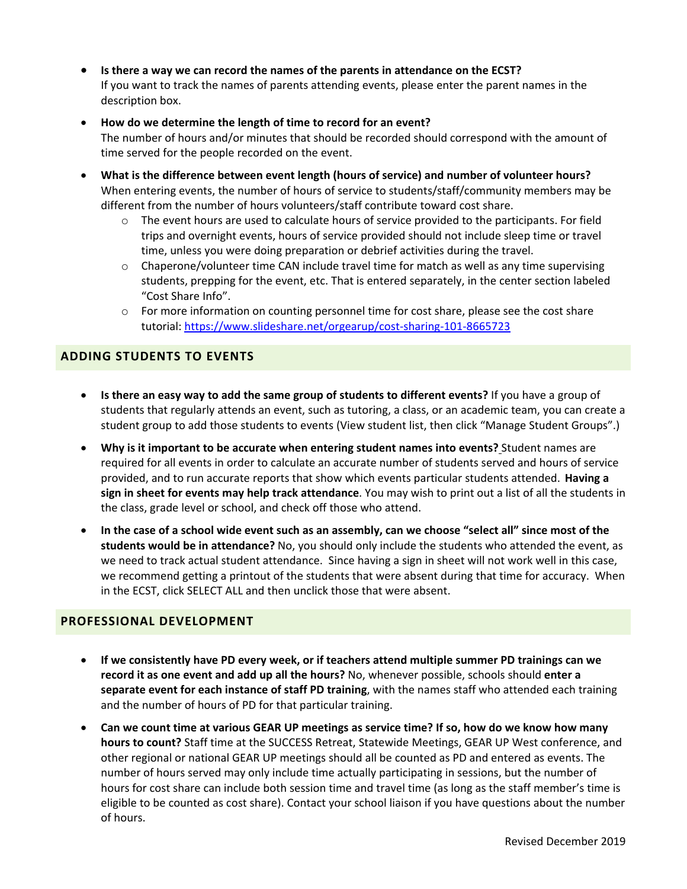- **Is there a way we can record the names of the parents in attendance on the ECST?**  If you want to track the names of parents attending events, please enter the parent names in the description box.
- **How do we determine the length of time to record for an event?**  The number of hours and/or minutes that should be recorded should correspond with the amount of time served for the people recorded on the event.
- **What is the difference between event length (hours of service) and number of volunteer hours?** When entering events, the number of hours of service to students/staff/community members may be different from the number of hours volunteers/staff contribute toward cost share.
	- $\circ$  The event hours are used to calculate hours of service provided to the participants. For field trips and overnight events, hours of service provided should not include sleep time or travel time, unless you were doing preparation or debrief activities during the travel.
	- $\circ$  Chaperone/volunteer time CAN include travel time for match as well as any time supervising students, prepping for the event, etc. That is entered separately, in the center section labeled "Cost Share Info".
	- $\circ$  For more information on counting personnel time for cost share, please see the cost share tutorial: https://www.slideshare.net/orgearup/cost‐sharing‐101‐8665723

# **ADDING STUDENTS TO EVENTS**

- **Is there an easy way to add the same group of students to different events?** If you have a group of students that regularly attends an event, such as tutoring, a class, or an academic team, you can create a student group to add those students to events (View student list, then click "Manage Student Groups".)
- **Why is it important to be accurate when entering student names into events?** Student names are required for all events in order to calculate an accurate number of students served and hours of service provided, and to run accurate reports that show which events particular students attended. **Having a sign in sheet for events may help track attendance**. You may wish to print out a list of all the students in the class, grade level or school, and check off those who attend.
- **In the case of a school wide event such as an assembly, can we choose "select all" since most of the students would be in attendance?** No, you should only include the students who attended the event, as we need to track actual student attendance. Since having a sign in sheet will not work well in this case, we recommend getting a printout of the students that were absent during that time for accuracy. When in the ECST, click SELECT ALL and then unclick those that were absent.

# **PROFESSIONAL DEVELOPMENT**

- **If we consistently have PD every week, or if teachers attend multiple summer PD trainings can we record it as one event and add up all the hours?** No, whenever possible, schools should **enter a separate event for each instance of staff PD training**, with the names staff who attended each training and the number of hours of PD for that particular training.
- **Can we count time at various GEAR UP meetings as service time? If so, how do we know how many hours to count?** Staff time at the SUCCESS Retreat, Statewide Meetings, GEAR UP West conference, and other regional or national GEAR UP meetings should all be counted as PD and entered as events. The number of hours served may only include time actually participating in sessions, but the number of hours for cost share can include both session time and travel time (as long as the staff member's time is eligible to be counted as cost share). Contact your school liaison if you have questions about the number of hours.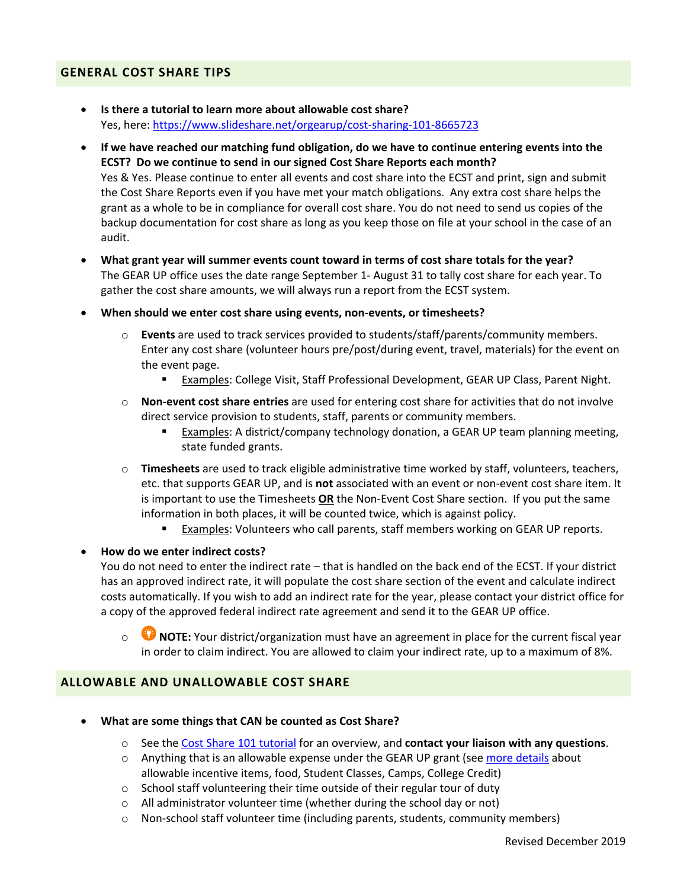### **GENERAL COST SHARE TIPS**

- **Is there a tutorial to learn more about allowable cost share?**  Yes, here: https://www.slideshare.net/orgearup/cost‐sharing‐101‐8665723
- **If we have reached our matching fund obligation, do we have to continue entering events into the ECST? Do we continue to send in our signed Cost Share Reports each month?**  Yes & Yes. Please continue to enter all events and cost share into the ECST and print, sign and submit the Cost Share Reports even if you have met your match obligations. Any extra cost share helps the grant as a whole to be in compliance for overall cost share. You do not need to send us copies of the backup documentation for cost share as long as you keep those on file at your school in the case of an audit.
- **What grant year will summer events count toward in terms of cost share totals for the year?**  The GEAR UP office uses the date range September 1‐ August 31 to tally cost share for each year. To gather the cost share amounts, we will always run a report from the ECST system.
- **When should we enter cost share using events, non‐events, or timesheets?**
	- o **Events** are used to track services provided to students/staff/parents/community members. Enter any cost share (volunteer hours pre/post/during event, travel, materials) for the event on the event page.
		- Examples: College Visit, Staff Professional Development, GEAR UP Class, Parent Night.
	- o **Non‐event cost share entries** are used for entering cost share for activities that do not involve direct service provision to students, staff, parents or community members.
		- **Examples:** A district/company technology donation, a GEAR UP team planning meeting, state funded grants.
	- o **Timesheets** are used to track eligible administrative time worked by staff, volunteers, teachers, etc. that supports GEAR UP, and is **not** associated with an event or non‐event cost share item. It is important to use the Timesheets **OR** the Non‐Event Cost Share section. If you put the same information in both places, it will be counted twice, which is against policy.
		- Examples: Volunteers who call parents, staff members working on GEAR UP reports.

#### **How do we enter indirect costs?**

You do not need to enter the indirect rate – that is handled on the back end of the ECST. If your district has an approved indirect rate, it will populate the cost share section of the event and calculate indirect costs automatically. If you wish to add an indirect rate for the year, please contact your district office for a copy of the approved federal indirect rate agreement and send it to the GEAR UP office.

**C** NOTE: Your district/organization must have an agreement in place for the current fiscal year in order to claim indirect. You are allowed to claim your indirect rate, up to a maximum of 8%.

## **ALLOWABLE AND UNALLOWABLE COST SHARE**

- **What are some things that CAN be counted as Cost Share?** 
	- o See the Cost Share 101 tutorial for an overview, and **contact your liaison with any questions**.
	- o Anything that is an allowable expense under the GEAR UP grant (see more details about allowable incentive items, food, Student Classes, Camps, College Credit)
	- $\circ$  School staff volunteering their time outside of their regular tour of duty
	- o All administrator volunteer time (whether during the school day or not)
	- o Non‐school staff volunteer time (including parents, students, community members)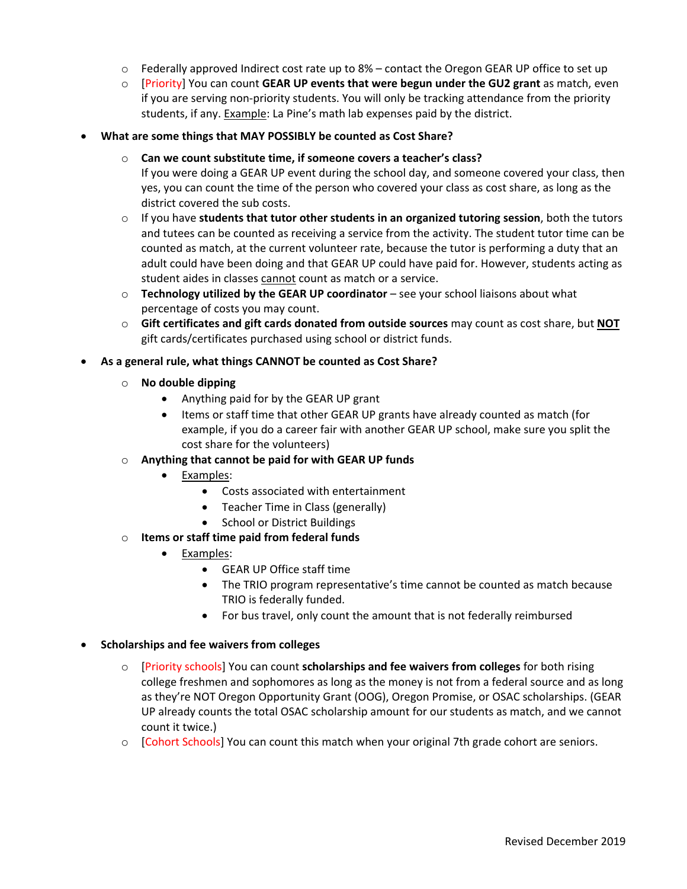- $\circ$  Federally approved Indirect cost rate up to 8% contact the Oregon GEAR UP office to set up
- o [Priority] You can count **GEAR UP events that were begun under the GU2 grant** as match, even if you are serving non‐priority students. You will only be tracking attendance from the priority students, if any. **Example: La Pine's math lab expenses paid by the district.**
- **What are some things that MAY POSSIBLY be counted as Cost Share?** 
	- o **Can we count substitute time, if someone covers a teacher's class?**
		- If you were doing a GEAR UP event during the school day, and someone covered your class, then yes, you can count the time of the person who covered your class as cost share, as long as the district covered the sub costs.
	- o If you have **students that tutor other students in an organized tutoring session**, both the tutors and tutees can be counted as receiving a service from the activity. The student tutor time can be counted as match, at the current volunteer rate, because the tutor is performing a duty that an adult could have been doing and that GEAR UP could have paid for. However, students acting as student aides in classes cannot count as match or a service.
	- o **Technology utilized by the GEAR UP coordinator** see your school liaisons about what percentage of costs you may count.
	- o **Gift certificates and gift cards donated from outside sources** may count as cost share, but **NOT** gift cards/certificates purchased using school or district funds.
- **As a general rule, what things CANNOT be counted as Cost Share?**
	- o **No double dipping**
		- Anything paid for by the GEAR UP grant
		- Items or staff time that other GEAR UP grants have already counted as match (for example, if you do a career fair with another GEAR UP school, make sure you split the cost share for the volunteers)
	- o **Anything that cannot be paid for with GEAR UP funds**
		- Examples:
			- Costs associated with entertainment
			- Teacher Time in Class (generally)
			- School or District Buildings
	- o **Items or staff time paid from federal funds** 
		- Examples:
			- GEAR UP Office staff time
			- The TRIO program representative's time cannot be counted as match because TRIO is federally funded.
			- For bus travel, only count the amount that is not federally reimbursed
- **Scholarships and fee waivers from colleges**
	- o [Priority schools] You can count **scholarships and fee waivers from colleges** for both rising college freshmen and sophomores as long as the money is not from a federal source and as long as they're NOT Oregon Opportunity Grant (OOG), Oregon Promise, or OSAC scholarships. (GEAR UP already counts the total OSAC scholarship amount for our students as match, and we cannot count it twice.)
	- o [Cohort Schools] You can count this match when your original 7th grade cohort are seniors.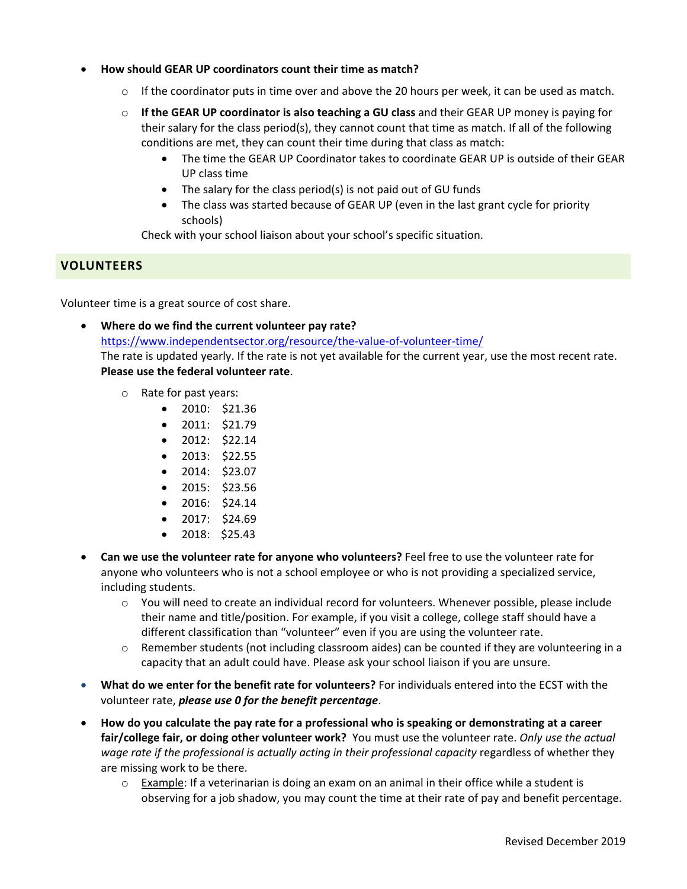- **How should GEAR UP coordinators count their time as match?** 
	- $\circ$  If the coordinator puts in time over and above the 20 hours per week, it can be used as match.
	- o **If the GEAR UP coordinator is also teaching a GU class** and their GEAR UP money is paying for their salary for the class period(s), they cannot count that time as match. If all of the following conditions are met, they can count their time during that class as match:
		- The time the GEAR UP Coordinator takes to coordinate GEAR UP is outside of their GEAR UP class time
		- The salary for the class period(s) is not paid out of GU funds
		- The class was started because of GEAR UP (even in the last grant cycle for priority schools)

Check with your school liaison about your school's specific situation.

# **VOLUNTEERS**

Volunteer time is a great source of cost share.

- **Where do we find the current volunteer pay rate?**  https://www.independentsector.org/resource/the-value-of-volunteer-time/ The rate is updated yearly. If the rate is not yet available for the current year, use the most recent rate. **Please use the federal volunteer rate**.
	- o Rate for past years:
		- $\bullet$  2010: \$21.36
		- $\bullet$  2011: \$21.79
		- $\bullet$  2012: \$22.14
		- 2013: \$22.55
		- $\bullet$  2014: \$23.07
		- $\bullet$  2015: \$23.56
		- 2016: \$24.14
		- 2017: \$24.69
		- $\bullet$  2018: \$25.43
- **Can we use the volunteer rate for anyone who volunteers?** Feel free to use the volunteer rate for anyone who volunteers who is not a school employee or who is not providing a specialized service, including students.
	- o You will need to create an individual record for volunteers. Whenever possible, please include their name and title/position. For example, if you visit a college, college staff should have a different classification than "volunteer" even if you are using the volunteer rate.
	- $\circ$  Remember students (not including classroom aides) can be counted if they are volunteering in a capacity that an adult could have. Please ask your school liaison if you are unsure.
- **What do we enter for the benefit rate for volunteers?** For individuals entered into the ECST with the volunteer rate, *please use 0 for the benefit percentage*.
- **How do you calculate the pay rate for a professional who is speaking or demonstrating at a career fair/college fair, or doing other volunteer work?** You must use the volunteer rate. *Only use the actual*  wage rate if the professional is actually acting in their professional capacity regardless of whether they are missing work to be there.
	- $\circ$  Example: If a veterinarian is doing an exam on an animal in their office while a student is observing for a job shadow, you may count the time at their rate of pay and benefit percentage.